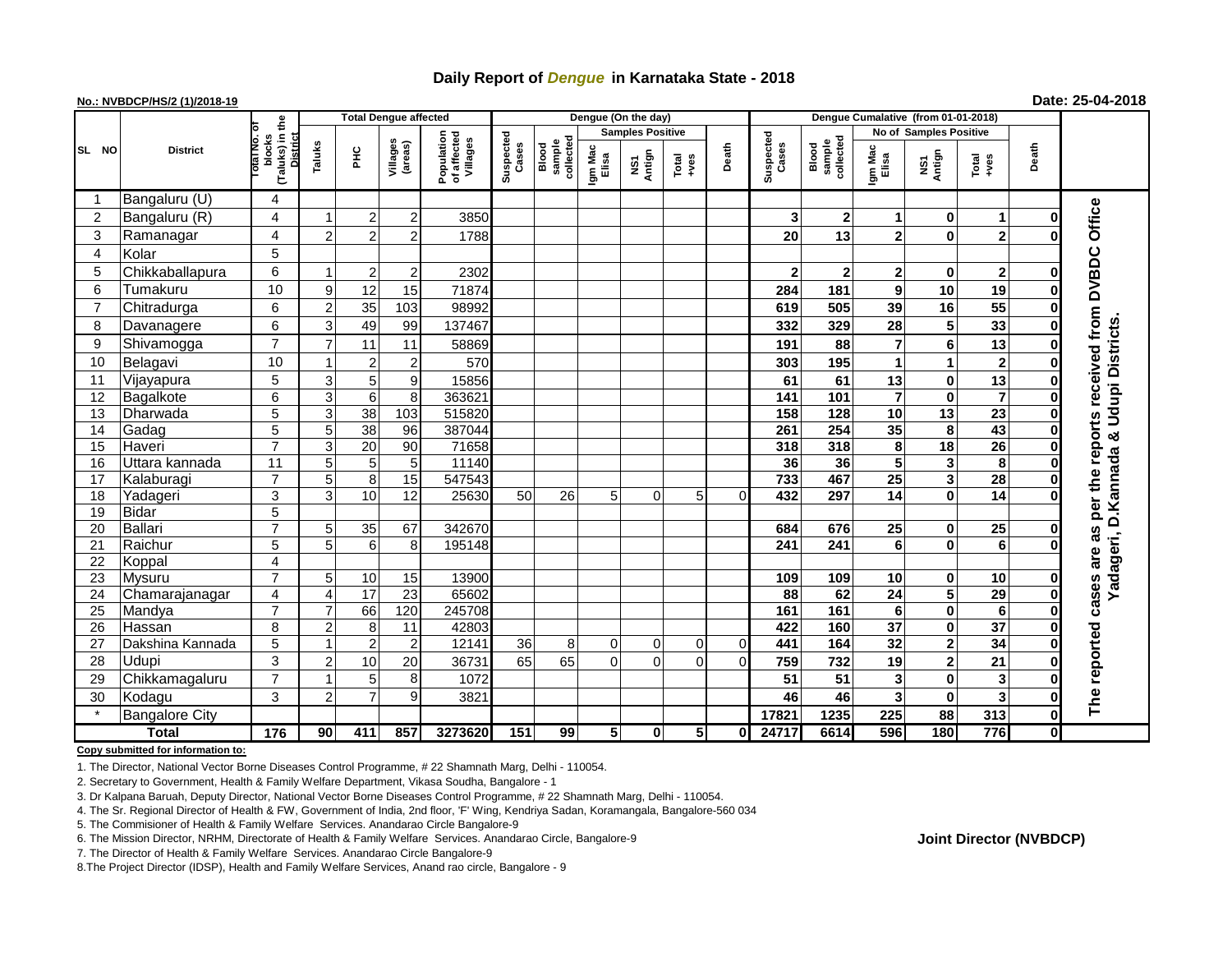## **Daily Report of** *Dengue* **in Karnataka State - 2018**

### **No.: NVBDCP/HS/2 (1)/2018-19 Date: 25-04-2018**

|                                       | <b>District</b>                  |                                      |                    |                     | <b>Total Dengue affected</b>  |                                       |                    |                              | Dengue (On the day)     |                  |                  |          |                    |                              |                                    |                               |                       |                   |                                          |
|---------------------------------------|----------------------------------|--------------------------------------|--------------------|---------------------|-------------------------------|---------------------------------------|--------------------|------------------------------|-------------------------|------------------|------------------|----------|--------------------|------------------------------|------------------------------------|-------------------------------|-----------------------|-------------------|------------------------------------------|
|                                       |                                  |                                      |                    |                     |                               |                                       |                    |                              | <b>Samples Positive</b> |                  |                  |          |                    |                              |                                    | <b>No of Samples Positive</b> |                       |                   |                                          |
| SL NO                                 |                                  | (Taluks) in the<br>blocks<br>סוח הוס | District<br>Taluks | 욷                   | Villages<br>(areas)           | Population<br>of affected<br>Villages | Suspected<br>Cases | collected<br>sample<br>Blood | Igm Mac<br>Elisa        | Antign<br>ŠΝ     | Total<br>$+ves$  | Death    | Suspected<br>Cases | sample<br>collected<br>Blood | Igm Mac<br>Elisa                   | NS1<br>Antign                 | Total<br>+ves         | Death             |                                          |
|                                       | Bangaluru (U)                    | 4                                    |                    |                     |                               |                                       |                    |                              |                         |                  |                  |          |                    |                              |                                    |                               |                       |                   |                                          |
| $\overline{2}$                        | Bangaluru (R)                    | $\overline{4}$                       |                    | $\overline{c}$      | $2^{1}$                       | 3850                                  |                    |                              |                         |                  |                  |          | 3                  | $\mathbf{2}$                 | 1                                  | 0                             | -1                    | 0                 | Office                                   |
| 3                                     | Ramanagar                        | 4                                    | $\overline{2}$     | $\overline{2}$      | 2                             | 1788                                  |                    |                              |                         |                  |                  |          | 20                 | 13                           | $\overline{2}$                     | $\bf{0}$                      | $\overline{2}$        |                   |                                          |
| $\overline{4}$                        | Kolar                            | 5                                    |                    |                     |                               |                                       |                    |                              |                         |                  |                  |          |                    |                              |                                    |                               |                       |                   |                                          |
| 5                                     | Chikkaballapura                  | 6                                    |                    | 2 <sup>1</sup>      | 2                             | 2302                                  |                    |                              |                         |                  |                  |          | $\mathbf 2$        | $\mathbf{2}$                 | $\mathbf{2}$                       | 0                             | $\overline{2}$        | 0                 |                                          |
| 6                                     | Tumakuru                         | 10                                   | 9                  | 12                  | 15                            | 71874                                 |                    |                              |                         |                  |                  |          | 284                | 181                          | 9                                  | 10                            | 19                    | 0                 |                                          |
| $\overline{7}$                        | Chitradurga                      | 6                                    | $\overline{2}$     | 35                  | 103                           | 98992                                 |                    |                              |                         |                  |                  |          | 619                | 505                          | 39                                 | 16                            | 55                    | 0                 |                                          |
| 8                                     | Davanagere                       | 6                                    | 3                  | 49                  | 99                            | 137467                                |                    |                              |                         |                  |                  |          | 332                | 329                          | 28                                 | 5                             | 33                    | 0                 |                                          |
| 9                                     | Shivamogga                       | $\overline{7}$                       | $\overline{7}$     | 11                  | 11                            | 58869                                 |                    |                              |                         |                  |                  |          | 191                | 88                           | $\overline{7}$                     | 6                             | 13                    | 0                 |                                          |
| 10                                    | Belagavi                         | 10                                   |                    | 2                   | 2                             | 570                                   |                    |                              |                         |                  |                  |          | 303                | 195                          |                                    | 1                             | $\mathbf{2}$          | 0                 | received from DVBDC<br>& Udupi Districts |
| 11                                    | Vijayapura                       | 5                                    | 3                  | 5 <sup>1</sup>      | 9                             | 15856                                 |                    |                              |                         |                  |                  |          | 61                 | 61                           | 13                                 | 0                             | 13                    | 0                 |                                          |
| 12                                    | Bagalkote                        | 6                                    | 3                  | $\overline{6}$      | 8 <sup>1</sup>                | 363621                                |                    |                              |                         |                  |                  |          | $\overline{141}$   | 101                          | $\overline{7}$                     | $\mathbf 0$                   | $\overline{7}$        | 0                 |                                          |
| 13                                    | Dharwada                         | 5                                    | 3                  | 38                  | 103                           | 515820                                |                    |                              |                         |                  |                  |          | 158                | 128                          | 10                                 | $\overline{13}$               | 23                    | 0                 |                                          |
| 14                                    | Gadag                            | $\overline{5}$                       | 5                  | 38                  | 96                            | 387044                                |                    |                              |                         |                  |                  |          | 261                | 254                          | 35                                 | 8                             | 43                    | $\bf{0}$          | per the reports                          |
| 15                                    | Haveri                           | $\overline{7}$                       | 3                  | 20                  | 90                            | 71658                                 |                    |                              |                         |                  |                  |          | 318                | 318                          | 8                                  | 18                            | $\overline{26}$       | 0                 |                                          |
| 16                                    | Uttara kannada                   | $\overline{11}$                      | 5                  | 5 <sub>5</sub>      | 5                             | 11140                                 |                    |                              |                         |                  |                  |          | 36                 | 36                           | $\overline{\mathbf{5}}$            | 3                             | 8                     | $\bf{0}$          |                                          |
| 17                                    | Kalaburagi                       | $\overline{7}$                       | 5                  | 8 <sup>1</sup>      | 15                            | 547543                                |                    |                              |                         |                  |                  |          | 733                | 467                          | 25                                 | 3                             | $\overline{28}$       | $\bf{0}$          |                                          |
| 18                                    | Yadageri                         | $\overline{3}$                       | 3                  | 10 <sup>1</sup>     | 12                            | 25630                                 | 50                 | 26                           | 5                       | $\Omega$         | 5                | $\Omega$ | 432                | 297                          | $\overline{14}$                    | $\mathbf{0}$                  | $\overline{14}$       | $\Omega$          |                                          |
| 19                                    | Bidar                            | $\overline{5}$                       |                    |                     |                               |                                       |                    |                              |                         |                  |                  |          |                    |                              |                                    |                               |                       |                   |                                          |
| 20                                    | Ballari                          | $\overline{7}$                       | 5                  | 35                  | 67                            | 342670                                |                    |                              |                         |                  |                  |          | 684                | 676                          | 25                                 | $\mathbf 0$                   | $\overline{25}$       | $\mathbf{0}$      | Yadageri, D.Kannada<br>as                |
| 21                                    | Raichur                          | $\overline{5}$                       | 5                  | $6 \mid$            | 8                             | 195148                                |                    |                              |                         |                  |                  |          | 241                | 241                          | 6                                  | $\bf{0}$                      | 6                     | $\Omega$          |                                          |
| 22                                    | Koppal                           | 4                                    |                    |                     |                               |                                       |                    |                              |                         |                  |                  |          |                    |                              |                                    |                               |                       |                   | are                                      |
| 23                                    | Mysuru                           | $\overline{7}$                       | 5                  | 10                  | 15                            | 13900                                 |                    |                              |                         |                  |                  |          | 109                | 109                          | 10                                 | 0                             | 10                    | 0                 |                                          |
| 24                                    | Chamarajanagar                   | 4                                    | 4                  | $\overline{17}$     | $\overline{23}$               | 65602                                 |                    |                              |                         |                  |                  |          | 88                 | 62                           | $\overline{24}$                    | $\overline{\mathbf{5}}$       | $\overline{29}$       | $\mathbf{0}$      | cases                                    |
| 25                                    | Mandya                           | $\overline{7}$                       | $\overline{7}$     | 66                  | 120                           | 245708                                |                    |                              |                         |                  |                  |          | 161                | 161                          | 6                                  | $\mathbf 0$                   | 6                     | $\mathbf{0}$      |                                          |
| 26                                    | Hassan                           | 8<br>$\overline{5}$                  | 2                  | 8<br>$\overline{2}$ | 11                            | 42803<br>12141                        |                    |                              |                         |                  |                  |          | 422<br>441         | 160<br>164                   | $\overline{37}$<br>$\overline{32}$ | 0                             | $\overline{37}$<br>34 | $\mathbf{0}$<br>0 |                                          |
| 27<br>28                              | Dakshina Kannada<br><b>Udupi</b> | 3                                    | 2                  | 10                  | $\overline{\mathbf{c}}$<br>20 | 36731                                 | 36<br>65           | 8<br>65                      | 0<br>$\Omega$           | 0<br>$\mathbf 0$ | 0<br>$\mathbf 0$ | 0<br>0   | 759                | 732                          | 19                                 | 2<br>$\overline{2}$           | 21                    | $\mathbf{0}$      |                                          |
| 29                                    | Chikkamagaluru                   | $\overline{7}$                       |                    | 5 <sub>5</sub>      | 8                             | 1072                                  |                    |                              |                         |                  |                  |          | 51                 | 51                           | 3                                  | $\bf{0}$                      | 3                     | U                 | The reported                             |
| 30                                    | Kodagu                           | $\mathbf{3}$                         | $\mathcal{P}$      | $\overline{7}$      | 9                             | 3821                                  |                    |                              |                         |                  |                  |          | 46                 | 46                           | 3                                  | $\bf{0}$                      | 3                     | 0                 |                                          |
|                                       |                                  |                                      |                    |                     |                               |                                       |                    |                              |                         |                  |                  |          | 17821              | 1235                         | 225                                | 88                            | 313                   | $\mathbf{0}$      |                                          |
| <b>Bangalore City</b><br><b>Total</b> |                                  | 176                                  | 90 <sup>°</sup>    | 411                 | 857                           | 3273620                               | 151                | 99                           | 5 <sub>5</sub>          | $\mathbf 0$      | 5                | $\bf{0}$ | 24717              | 6614                         | 596                                | 180                           | 776                   | Οl                |                                          |

**Copy submitted for information to:**

1. The Director, National Vector Borne Diseases Control Programme, # 22 Shamnath Marg, Delhi - 110054.

2. Secretary to Government, Health & Family Welfare Department, Vikasa Soudha, Bangalore - 1

3. Dr Kalpana Baruah, Deputy Director, National Vector Borne Diseases Control Programme, # 22 Shamnath Marg, Delhi - 110054.

4. The Sr. Regional Director of Health & FW, Government of India, 2nd floor, 'F' Wing, Kendriya Sadan, Koramangala, Bangalore-560 034

5. The Commisioner of Health & Family Welfare Services. Anandarao Circle Bangalore-9

7. The Director of Health & Family Welfare Services. Anandarao Circle Bangalore-9

8.The Project Director (IDSP), Health and Family Welfare Services, Anand rao circle, Bangalore - 9

**Joint Director (NVBDCP)**

<sup>6.</sup> The Mission Director, NRHM, Directorate of Health & Family Welfare Services. Anandarao Circle, Bangalore-9